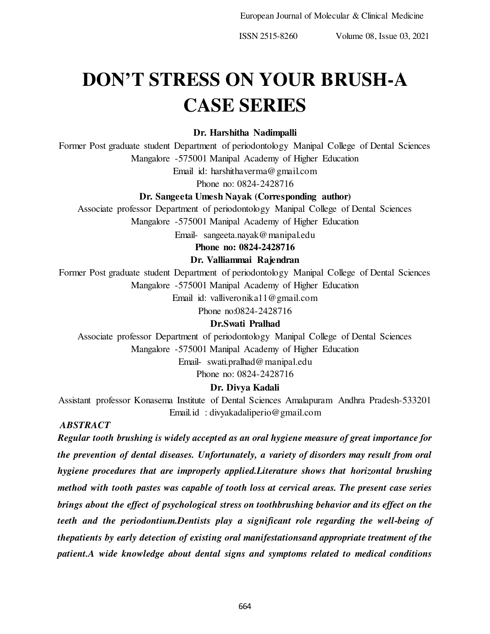European Journal of Molecular & Clinical Medicine

ISSN 2515-8260 Volume 08, Issue 03, 2021

# **DON'T STRESS ON YOUR BRUSH-A CASE SERIES**

### **Dr. Harshitha Nadimpalli**

Former Post graduate student Department of periodontology Manipal College of Dental Sciences Mangalore -575001 Manipal Academy of Higher Education

Email id: harshithaverma@gmail.com

Phone no: 0824-2428716

### **Dr. Sangeeta Umesh Nayak (Corresponding author)**

Associate professor Department of periodontology Manipal College of Dental Sciences

Mangalore -575001 Manipal Academy of Higher Education

Email- sangeeta.nayak@manipal.edu

**Phone no: 0824-2428716** 

### **Dr. Valliammai Rajendran**

Former Post graduate student Department of periodontology Manipal College of Dental Sciences Mangalore -575001 Manipal Academy of Higher Education

Email id: valliveronika11@gmail.com

Phone no:0824-2428716

### **Dr.Swati Pralhad**

Associate professor Department of periodontology Manipal College of Dental Sciences Mangalore -575001 Manipal Academy of Higher Education Email- swati.pralhad@manipal.edu

Phone no: 0824-2428716

### **Dr. Divya Kadali**

Assistant professor Konasema Institute of Dental Sciences Amalapuram Andhra Pradesh-533201 Email.id : divyakadaliperio@gmail.com

### *ABSTRACT*

*Regular tooth brushing is widely accepted as an oral hygiene measure of great importance for the prevention of dental diseases. Unfortunately, a variety of disorders may result from oral hygiene procedures that are improperly applied.Literature shows that horizontal brushing method with tooth pastes was capable of tooth loss at cervical areas. The present case series brings about the effect of psychological stress on toothbrushing behavior and its effect on the teeth and the periodontium.Dentists play a significant role regarding the well-being of thepatients by early detection of existing oral manifestationsand appropriate treatment of the patient.A wide knowledge about dental signs and symptoms related to medical conditions*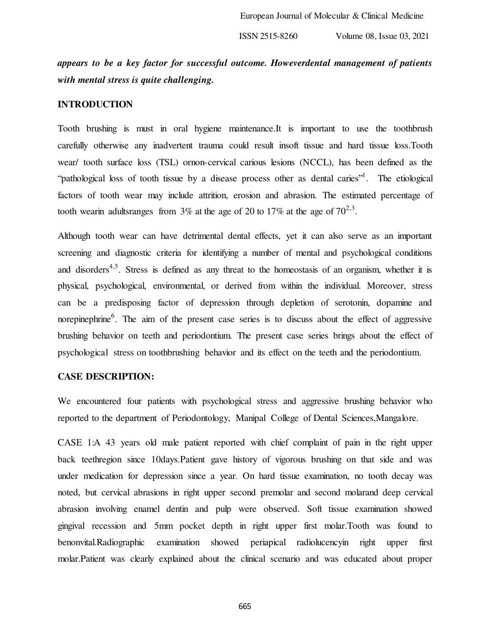## *appears to be a key factor for successful outcome. Howeverdental management of patients with mental stress is quite challenging.*

### **INTRODUCTION**

Tooth brushing is must in oral hygiene maintenance.It is important to use the toothbrush carefully otherwise any inadvertent trauma could result insoft tissue and hard tissue loss.Tooth wear/ tooth surface loss (TSL) ornon-cervical carious lesions (NCCL), has been defined as the "pathological loss of tooth tissue by a disease process other as dental caries"<sup>1</sup>. The etiological factors of tooth wear may include attrition, erosion and abrasion. The estimated percentage of tooth wearin adultsranges from 3% at the age of 20 to 17% at the age of  $70^{2,3}$ .

Although tooth wear can have detrimental dental effects, yet it can also serve as an important screening and diagnostic criteria for identifying a number of mental and psychological conditions and disorders<sup>4,5</sup>. Stress is defined as any threat to the homeostasis of an organism, whether it is physical, psychological, environmental, or derived from within the individual. Moreover, stress can be a predisposing factor of depression through depletion of serotonin, dopamine and norepinephrine<sup>6</sup>. The aim of the present case series is to discuss about the effect of aggressive brushing behavior on teeth and periodontium. The present case series brings about the effect of psychological stress on toothbrushing behavior and its effect on the teeth and the periodontium.

### **CASE DESCRIPTION:**

We encountered four patients with psychological stress and aggressive brushing behavior who reported to the department of Periodontology, Manipal College of Dental Sciences,Mangalore.

CASE 1:A 43 years old male patient reported with chief complaint of pain in the right upper back teethregion since 10days.Patient gave history of vigorous brushing on that side and was under medication for depression since a year. On hard tissue examination, no tooth decay was noted, but cervical abrasions in right upper second premolar and second molarand deep cervical abrasion involving enamel dentin and pulp were observed. Soft tissue examination showed gingival recession and 5mm pocket depth in right upper first molar.Tooth was found to benonvital.Radiographic examination showed periapical radiolucencyin right upper first molar.Patient was clearly explained about the clinical scenario and was educated about proper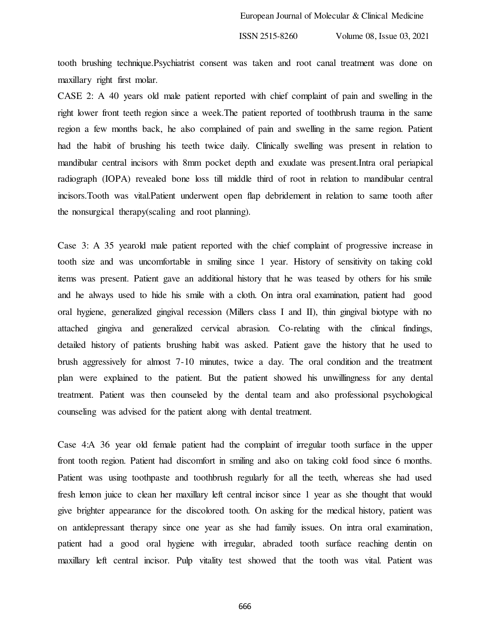tooth brushing technique.Psychiatrist consent was taken and root canal treatment was done on maxillary right first molar.

CASE 2: A 40 years old male patient reported with chief complaint of pain and swelling in the right lower front teeth region since a week.The patient reported of toothbrush trauma in the same region a few months back, he also complained of pain and swelling in the same region. Patient had the habit of brushing his teeth twice daily. Clinically swelling was present in relation to mandibular central incisors with 8mm pocket depth and exudate was present.Intra oral periapical radiograph (IOPA) revealed bone loss till middle third of root in relation to mandibular central incisors.Tooth was vital.Patient underwent open flap debridement in relation to same tooth after the nonsurgical therapy(scaling and root planning).

Case 3: A 35 yearold male patient reported with the chief complaint of progressive increase in tooth size and was uncomfortable in smiling since 1 year. History of sensitivity on taking cold items was present. Patient gave an additional history that he was teased by others for his smile and he always used to hide his smile with a cloth. On intra oral examination, patient had good oral hygiene, generalized gingival recession (Millers class I and II), thin gingival biotype with no attached gingiva and generalized cervical abrasion. Co-relating with the clinical findings, detailed history of patients brushing habit was asked. Patient gave the history that he used to brush aggressively for almost 7-10 minutes, twice a day. The oral condition and the treatment plan were explained to the patient. But the patient showed his unwillingness for any dental treatment. Patient was then counseled by the dental team and also professional psychological counseling was advised for the patient along with dental treatment.

Case 4:A 36 year old female patient had the complaint of irregular tooth surface in the upper front tooth region. Patient had discomfort in smiling and also on taking cold food since 6 months. Patient was using toothpaste and toothbrush regularly for all the teeth, whereas she had used fresh lemon juice to clean her maxillary left central incisor since 1 year as she thought that would give brighter appearance for the discolored tooth. On asking for the medical history, patient was on antidepressant therapy since one year as she had family issues. On intra oral examination, patient had a good oral hygiene with irregular, abraded tooth surface reaching dentin on maxillary left central incisor. Pulp vitality test showed that the tooth was vital. Patient was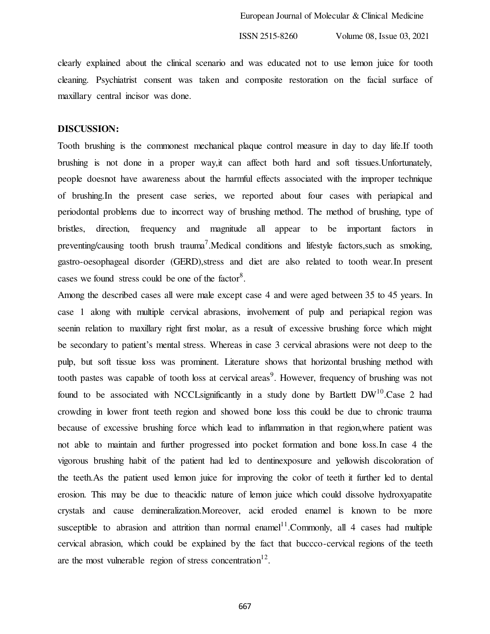clearly explained about the clinical scenario and was educated not to use lemon juice for tooth cleaning. Psychiatrist consent was taken and composite restoration on the facial surface of maxillary central incisor was done.

### **DISCUSSION:**

Tooth brushing is the commonest mechanical plaque control measure in day to day life.If tooth brushing is not done in a proper way,it can affect both hard and soft tissues.Unfortunately, people doesnot have awareness about the harmful effects associated with the improper technique of brushing.In the present case series, we reported about four cases with periapical and periodontal problems due to incorrect way of brushing method. The method of brushing, type of bristles, direction, frequency and magnitude all appear to be important factors in preventing/causing tooth brush trauma<sup>7</sup>. Medical conditions and lifestyle factors, such as smoking, gastro-oesophageal disorder (GERD),stress and diet are also related to tooth wear.In present cases we found stress could be one of the factor<sup>8</sup>.

Among the described cases all were male except case 4 and were aged between 35 to 45 years. In case 1 along with multiple cervical abrasions, involvement of pulp and periapical region was seenin relation to maxillary right first molar, as a result of excessive brushing force which might be secondary to patient's mental stress. Whereas in case 3 cervical abrasions were not deep to the pulp, but soft tissue loss was prominent. Literature shows that horizontal brushing method with tooth pastes was capable of tooth loss at cervical areas<sup>9</sup>. However, frequency of brushing was not found to be associated with NCCLsignificantly in a study done by Bartlett DW<sup>10</sup>.Case 2 had crowding in lower front teeth region and showed bone loss this could be due to chronic trauma because of excessive brushing force which lead to inflammation in that region,where patient was not able to maintain and further progressed into pocket formation and bone loss.In case 4 the vigorous brushing habit of the patient had led to dentinexposure and yellowish discoloration of the teeth.As the patient used lemon juice for improving the color of teeth it further led to dental erosion. This may be due to theacidic nature of lemon juice which could dissolve hydroxyapatite crystals and cause demineralization.Moreover, acid eroded enamel is known to be more susceptible to abrasion and attrition than normal enamel<sup>11</sup>. Commonly, all 4 cases had multiple cervical abrasion, which could be explained by the fact that buccco-cervical regions of the teeth are the most vulnerable region of stress concentration<sup>12</sup>.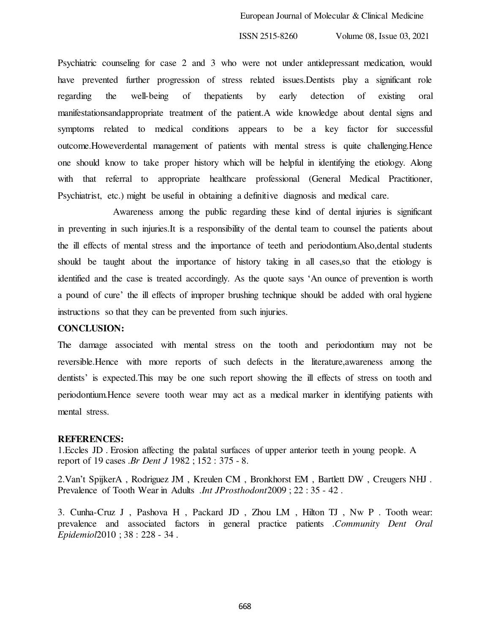Psychiatric counseling for case 2 and 3 who were not under antidepressant medication, would have prevented further progression of stress related issues.Dentists play a significant role regarding the well-being of thepatients by early detection of existing oral manifestationsandappropriate treatment of the patient.A wide knowledge about dental signs and symptoms related to medical conditions appears to be a key factor for successful outcome.Howeverdental management of patients with mental stress is quite challenging.Hence one should know to take proper history which will be helpful in identifying the etiology. Along with that referral to appropriate healthcare professional (General Medical Practitioner, Psychiatrist, etc.) might be useful in obtaining a definitive diagnosis and medical care.

 Awareness among the public regarding these kind of dental injuries is significant in preventing in such injuries.It is a responsibility of the dental team to counsel the patients about the ill effects of mental stress and the importance of teeth and periodontium.Also,dental students should be taught about the importance of history taking in all cases,so that the etiology is identified and the case is treated accordingly. As the quote says 'An ounce of prevention is worth a pound of cure' the ill effects of improper brushing technique should be added with oral hygiene instructions so that they can be prevented from such injuries.

### **CONCLUSION:**

The damage associated with mental stress on the tooth and periodontium may not be reversible.Hence with more reports of such defects in the literature,awareness among the dentists' is expected.This may be one such report showing the ill effects of stress on tooth and periodontium.Hence severe tooth wear may act as a medical marker in identifying patients with mental stress.

#### **REFERENCES:**

1.Eccles JD . Erosion affecting the palatal surfaces of upper anterior teeth in young people. A report of 19 cases .*Br Dent J* 1982 ; 152 : 375 - 8.

2.Van't SpijkerA , Rodriguez JM , Kreulen CM , Bronkhorst EM , Bartlett DW , Creugers NHJ . Prevalence of Tooth Wear in Adults .*Int JProsthodont*2009 ; 22 : 35 - 42 .

3. Cunha-Cruz J , Pashova H , Packard JD , Zhou LM , Hilton TJ , Nw P . Tooth wear: prevalence and associated factors in general practice patients .*Community Dent Oral Epidemiol*2010 ; 38 : 228 - 34 .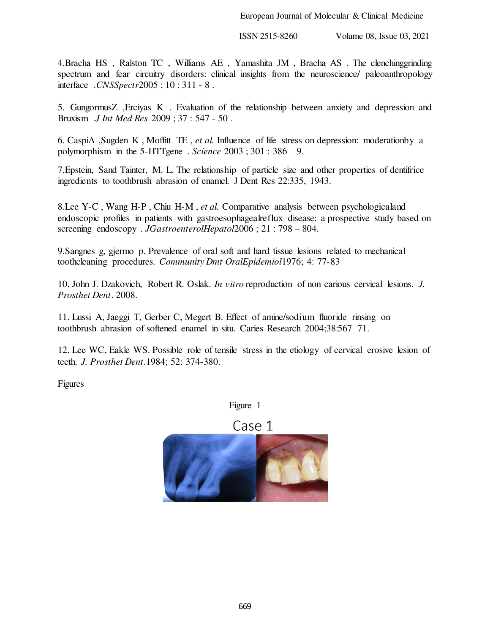4.Bracha HS , Ralston TC , Williams AE , Yamashita JM , Bracha AS . The clenchinggrinding spectrum and fear circuitry disorders: clinical insights from the neuroscience/ paleoanthropology interface .*CNSSpectr*2005 ; 10 : 311 - 8 .

5. GungormusZ ,Erciyas K . Evaluation of the relationship between anxiety and depression and Bruxism .*J Int Med Res* 2009 ; 37 : 547 - 50 .

6. CaspiA ,Sugden K , Moffitt TE , *et al.* Influence of life stress on depression: moderationby a polymorphism in the 5-HTTgene . *Science* 2003 ; 301 : 386 – 9.

7.Epstein, Sand Tainter, M. L. The relationship of particle size and other properties of dentifrice ingredients to toothbrush abrasion of enamel. J Dent Res 22:335, 1943.

8.Lee Y-C , Wang H-P , Chiu H-M , *et al.* Comparative analysis between psychologicaland endoscopic profiles in patients with gastroesophagealreflux disease: a prospective study based on screening endoscopy . *JGastroenterolHepatol*2006 ; 21 : 798 – 804.

9.Sangnes g, gjermo p. Prevalence of oral soft and hard tissue lesions related to mechanical toothcleaning procedures. *Community Dmt OralEpidemiol*1976; 4: 77-83

10. John J. Dzakovich, Robert R. Oslak. *In vitro* reproduction of non carious cervical lesions. *J. Prosthet Dent*. 2008.

11. Lussi A, Jaeggi T, Gerber C, Megert B. Effect of amine/sodium fluoride rinsing on toothbrush abrasion of softened enamel in situ. Caries Research 2004;38:567–71.

12. Lee WC, Eakle WS. Possible role of tensile stress in the etiology of cervical erosive lesion of teeth. *J. Prosthet Dent*.1984; 52: 374-380.

Figures

Figure 1

Case 1